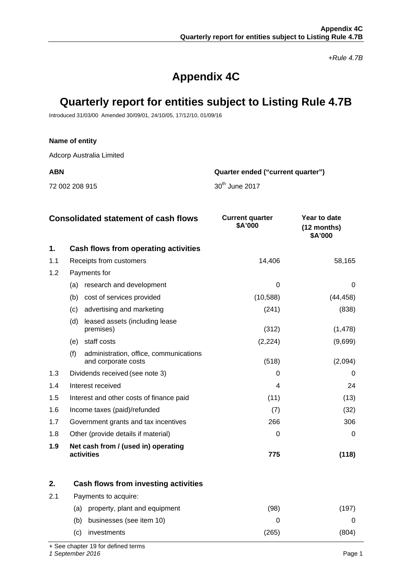*+Rule 4.7B*

# **Appendix 4C**

# **Quarterly report for entities subject to Listing Rule 4.7B**

Introduced 31/03/00 Amended 30/09/01, 24/10/05, 17/12/10, 01/09/16

#### **Name of entity**

Adcorp Australia Limited

72 002 208 915 30<sup>th</sup> June 2017

**ABN Quarter ended ("current quarter")**

|     | <b>Consolidated statement of cash flows</b>                          | <b>Current quarter</b><br>\$A'000 | Year to date<br>(12 months)<br>\$A'000 |
|-----|----------------------------------------------------------------------|-----------------------------------|----------------------------------------|
| 1.  | Cash flows from operating activities                                 |                                   |                                        |
| 1.1 | Receipts from customers                                              | 14,406                            | 58,165                                 |
| 1.2 | Payments for                                                         |                                   |                                        |
|     | research and development<br>(a)                                      | 0                                 | 0                                      |
|     | (b)<br>cost of services provided                                     | (10, 588)                         | (44, 458)                              |
|     | advertising and marketing<br>(c)                                     | (241)                             | (838)                                  |
|     | leased assets (including lease<br>(d)<br>premises)                   | (312)                             | (1, 478)                               |
|     | staff costs<br>(e)                                                   | (2, 224)                          | (9,699)                                |
|     | (f)<br>administration, office, communications<br>and corporate costs | (518)                             | (2,094)                                |
| 1.3 | Dividends received (see note 3)                                      | 0                                 | 0                                      |
| 1.4 | Interest received                                                    | 4                                 | 24                                     |
| 1.5 | Interest and other costs of finance paid                             | (11)                              | (13)                                   |
| 1.6 | Income taxes (paid)/refunded                                         | (7)                               | (32)                                   |
| 1.7 | Government grants and tax incentives                                 | 266                               | 306                                    |
| 1.8 | Other (provide details if material)                                  | 0                                 | 0                                      |
| 1.9 | Net cash from / (used in) operating<br>activities                    | 775                               | (118)                                  |

|     | Cash flows from investing activities |     |     |
|-----|--------------------------------------|-----|-----|
| 2.1 | Payments to acquire:                 |     |     |
|     | property, plant and equipment<br>(a) | '98 | 197 |
|     | businesses (see item 10)<br>(b)      |     |     |
|     | investments<br>(C)                   | 265 |     |

+ See chapter 19 for defined terms

*1 September 2016* Page 1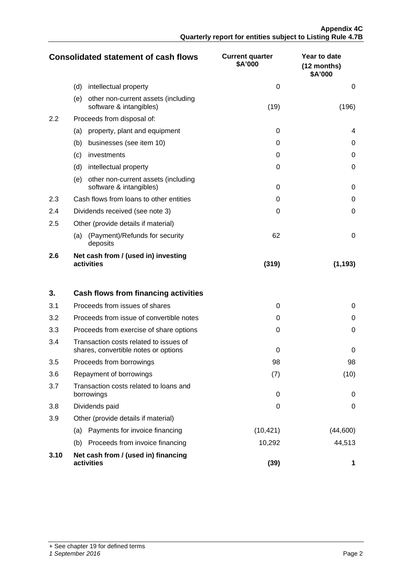|     | <b>Consolidated statement of cash flows</b>                           | <b>Current quarter</b><br>\$A'000 | Year to date<br>(12 months)<br>\$A'000 |
|-----|-----------------------------------------------------------------------|-----------------------------------|----------------------------------------|
|     | (d)<br>intellectual property                                          | $\Omega$                          | 0                                      |
|     | (e)<br>other non-current assets (including<br>software & intangibles) | (19)                              | (196)                                  |
| 2.2 | Proceeds from disposal of:                                            |                                   |                                        |
|     | property, plant and equipment<br>(a)                                  | 0                                 | 4                                      |
|     | (b)<br>businesses (see item 10)                                       | 0                                 | 0                                      |
|     | investments<br>(c)                                                    | 0                                 | 0                                      |
|     | (d)<br>intellectual property                                          | 0                                 | 0                                      |
|     | other non-current assets (including<br>(e)<br>software & intangibles) | $\Omega$                          | 0                                      |
| 2.3 | Cash flows from loans to other entities                               | $\Omega$                          | 0                                      |
| 2.4 | Dividends received (see note 3)                                       | 0                                 | 0                                      |
| 2.5 | Other (provide details if material)                                   |                                   |                                        |
|     | (Payment)/Refunds for security<br>(a)<br>deposits                     | 62                                | 0                                      |
| 2.6 | Net cash from / (used in) investing<br>activities                     | (319)                             | (1, 193)                               |

| 3.   | Cash flows from financing activities                                           |           |              |
|------|--------------------------------------------------------------------------------|-----------|--------------|
| 3.1  | Proceeds from issues of shares                                                 | 0         | 0            |
| 3.2  | Proceeds from issue of convertible notes                                       | $\Omega$  | 0            |
| 3.3  | Proceeds from exercise of share options                                        | 0         | O            |
| 3.4  | Transaction costs related to issues of<br>shares, convertible notes or options | ∩         | 0            |
| 3.5  | Proceeds from borrowings                                                       | 98        | 98           |
| 3.6  | Repayment of borrowings                                                        | (7)       | (10)         |
| 3.7  | Transaction costs related to loans and<br>borrowings                           | $\Omega$  | <sup>0</sup> |
| 3.8  | Dividends paid                                                                 | 0         | 0            |
| 3.9  | Other (provide details if material)                                            |           |              |
|      | Payments for invoice financing<br>(a)                                          | (10, 421) | (44,600)     |
|      | Proceeds from invoice financing<br>(b)                                         | 10,292    | 44,513       |
| 3.10 | Net cash from / (used in) financing<br>activities                              | (39)      |              |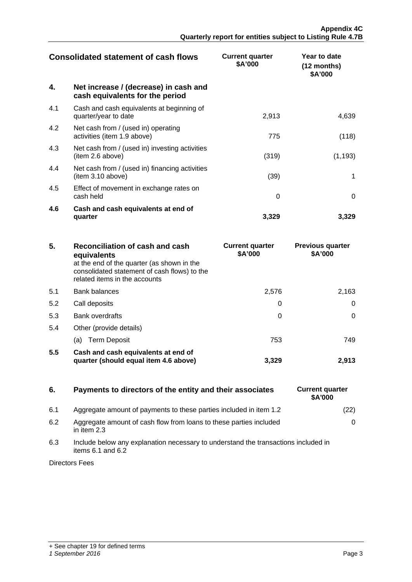| <b>Consolidated statement of cash flows</b> |                                                                          | <b>Current quarter</b><br>\$A'000 | Year to date<br>$(12$ months)<br>\$A'000 |
|---------------------------------------------|--------------------------------------------------------------------------|-----------------------------------|------------------------------------------|
| 4.                                          | Net increase / (decrease) in cash and<br>cash equivalents for the period |                                   |                                          |
| 4.1                                         | Cash and cash equivalents at beginning of<br>quarter/year to date        | 2,913                             | 4,639                                    |
| 4.2                                         | Net cash from / (used in) operating<br>activities (item 1.9 above)       | 775                               | (118)                                    |
| 4.3                                         | Net cash from / (used in) investing activities<br>(item 2.6 above)       | (319)                             | (1, 193)                                 |
| 4.4                                         | Net cash from / (used in) financing activities<br>(item 3.10 above)      | (39)                              |                                          |
| 4.5                                         | Effect of movement in exchange rates on<br>cash held                     | $\Omega$                          |                                          |
| 4.6                                         | Cash and cash equivalents at end of<br>quarter                           | 3,329                             | 3.329                                    |

| 5.  | Reconciliation of cash and cash<br>equivalents<br>at the end of the quarter (as shown in the<br>consolidated statement of cash flows) to the<br>related items in the accounts | <b>Current quarter</b><br>\$A'000 | <b>Previous quarter</b><br>\$A'000 |
|-----|-------------------------------------------------------------------------------------------------------------------------------------------------------------------------------|-----------------------------------|------------------------------------|
| 5.1 | Bank balances                                                                                                                                                                 | 2.576                             | 2.163                              |
| 5.2 | Call deposits                                                                                                                                                                 |                                   |                                    |
| 5.3 | <b>Bank overdrafts</b>                                                                                                                                                        |                                   |                                    |
| 5.4 | Other (provide details)                                                                                                                                                       |                                   |                                    |
|     | (a) Term Deposit                                                                                                                                                              | 753                               | 749                                |
| 5.5 | Cash and cash equivalents at end of<br>quarter (should equal item 4.6 above)                                                                                                  | 3.329                             | 2.91                               |

## **6.** Payments to directors of the entity and their associates

- 6.1 Aggregate amount of payments to these parties included in item 1.2
- 6.2 Aggregate amount of cash flow from loans to these parties included in item 2.3
- 6.3 Include below any explanation necessary to understand the transactions included in items  $6.1$  and  $6.2$

Directors Fees

| <b>Current quarter</b><br>\$A'000 |  |
|-----------------------------------|--|
| (22)                              |  |
| 0                                 |  |
|                                   |  |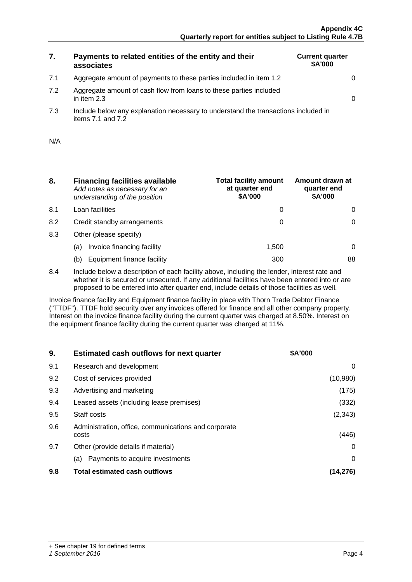## **7. Payments to related entities of the entity and their associates**

7.1 Aggregate amount of payments to these parties included in item 1.2 0

| <b>Current quarter</b><br>\$A'000 |  |
|-----------------------------------|--|
|                                   |  |
|                                   |  |

- 7.2 Aggregate amount of cash flow from loans to these parties included in item 2.3  $\qquad \qquad \qquad \vert$
- 7.3 Include below any explanation necessary to understand the transactions included in items  $7.1$  and  $7.2$

| N/A |  |
|-----|--|
|     |  |

- **8. Financing facilities available** *Add notes as necessary for an understanding of the position*
- 8.1 Loan facilities
- 8.2 Credit standby arrangements
- 8.3 Other (please specify)
	- (a) Invoice financing facility
	- (b) Equipment finance facility

| <b>Total facility amount</b><br>at quarter end<br>\$A'000 | Amount drawn at<br>quarter end<br>\$A'000 |
|-----------------------------------------------------------|-------------------------------------------|
|                                                           |                                           |
|                                                           |                                           |
|                                                           |                                           |
| 1,500                                                     |                                           |
|                                                           |                                           |

8.4 Include below a description of each facility above, including the lender, interest rate and whether it is secured or unsecured. If any additional facilities have been entered into or are proposed to be entered into after quarter end, include details of those facilities as well.

Invoice finance facility and Equipment finance facility in place with Thorn Trade Debtor Finance ("TTDF"). TTDF hold security over any invoices offered for finance and all other company property. Interest on the invoice finance facility during the current quarter was charged at 8.50%. Interest on the equipment finance facility during the current quarter was charged at 11%.

| 9.  | <b>Estimated cash outflows for next quarter</b>               | <b>SA'000</b> |
|-----|---------------------------------------------------------------|---------------|
| 9.1 | Research and development                                      | $^{(1)}$      |
| 9.2 | Cost of services provided                                     | (10,980)      |
| 9.3 | Advertising and marketing                                     | (175)         |
| 9.4 | Leased assets (including lease premises)                      | (332)         |
| 9.5 | Staff costs                                                   | (2, 343)      |
| 9.6 | Administration, office, communications and corporate<br>costs | (446)         |
| 9.7 | Other (provide details if material)                           |               |
|     | Payments to acquire investments<br>(a)                        |               |
| 9.8 | <b>Total estimated cash outflows</b>                          |               |